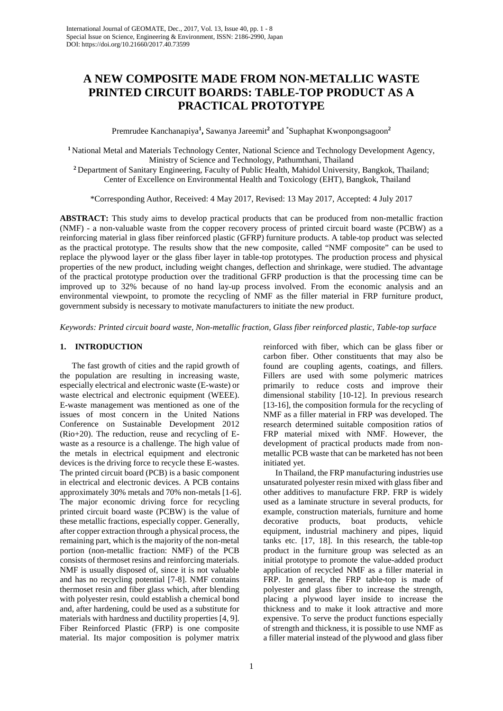# **A NEW COMPOSITE MADE FROM NON-METALLIC WASTE PRINTED CIRCUIT BOARDS: TABLE-TOP PRODUCT AS A PRACTICAL PROTOTYPE**

Premrudee Kanchanapiya**<sup>1</sup> ,** Sawanya Jareemit**<sup>2</sup>** and \* Suphaphat Kwonpongsagoon**<sup>2</sup>**

**<sup>1</sup>** National Metal and Materials Technology Center, National Science and Technology Development Agency, Ministry of Science and Technology, Pathumthani, Thailand

**<sup>2</sup>** Department of Sanitary Engineering, Faculty of Public Health, Mahidol University, Bangkok, Thailand; Center of Excellence on Environmental Health and Toxicology (EHT), Bangkok, Thailand

\*Corresponding Author, Received: 4 May 2017, Revised: 13 May 2017, Accepted: 4 July 2017

**ABSTRACT:** This study aims to develop practical products that can be produced from non-metallic fraction (NMF) - a non-valuable waste from the copper recovery process of printed circuit board waste (PCBW) as a reinforcing material in glass fiber reinforced plastic (GFRP) furniture products. A table-top product was selected as the practical prototype. The results show that the new composite, called "NMF composite" can be used to replace the plywood layer or the glass fiber layer in table-top prototypes. The production process and physical properties of the new product, including weight changes, deflection and shrinkage, were studied. The advantage of the practical prototype production over the traditional GFRP production is that the processing time can be improved up to 32% because of no hand lay-up process involved. From the economic analysis and an environmental viewpoint, to promote the recycling of NMF as the filler material in FRP furniture product, government subsidy is necessary to motivate manufacturers to initiate the new product.

*Keywords: Printed circuit board waste, Non-metallic fraction, Glass fiber reinforced plastic, Table-top surface*

# **1. INTRODUCTION**

The fast growth of cities and the rapid growth of the population are resulting in increasing waste, especially electrical and electronic waste (E-waste) or waste electrical and electronic equipment (WEEE). E-waste management was mentioned as one of the issues of most concern in the United Nations Conference on Sustainable Development 2012 (Rio+20). The reduction, reuse and recycling of Ewaste as a resource is a challenge. The high value of the metals in electrical equipment and electronic devices is the driving force to recycle these E-wastes. The printed circuit board (PCB) is a basic component in electrical and electronic devices. A PCB contains approximately 30% metals and 70% non-metals [1-6]. The major economic driving force for recycling printed circuit board waste (PCBW) is the value of these metallic fractions, especially copper. Generally, after copper extraction through a physical process, the remaining part, which is the majority of the non-metal portion (non-metallic fraction: NMF) of the PCB consists of thermoset resins and reinforcing materials. NMF is usually disposed of, since it is not valuable and has no recycling potential [7-8]. NMF contains thermoset resin and fiber glass which, after blending with polyester resin, could establish a chemical bond and, after hardening, could be used as a substitute for materials with hardness and ductility properties [4, 9]. Fiber Reinforced Plastic (FRP) is one composite material. Its major composition is polymer matrix

reinforced with fiber, which can be glass fiber or carbon fiber. Other constituents that may also be found are coupling agents, coatings, and fillers. Fillers are used with some polymeric matrices primarily to reduce costs and improve their dimensional stability [10-12]. In previous research [13-16], the composition formula for the recycling of NMF as a filler material in FRP was developed. The research determined suitable composition ratios of FRP material mixed with NMF. However, the development of practical products made from nonmetallic PCB waste that can be marketed has not been initiated yet.

In Thailand, the FRP manufacturing industries use unsaturated polyester resin mixed with glass fiber and other additives to manufacture FRP. FRP is widely used as a laminate structure in several products, for example, construction materials, furniture and home decorative products, boat products, vehicle equipment, industrial machinery and pipes, liquid tanks etc. [17, 18]. In this research, the table-top product in the furniture group was selected as an initial prototype to promote the value-added product application of recycled NMF as a filler material in FRP. In general, the FRP table-top is made of polyester and glass fiber to increase the strength, placing a plywood layer inside to increase the thickness and to make it look attractive and more expensive. To serve the product functions especially of strength and thickness, it is possible to use NMF as a filler material instead of the plywood and glass fiber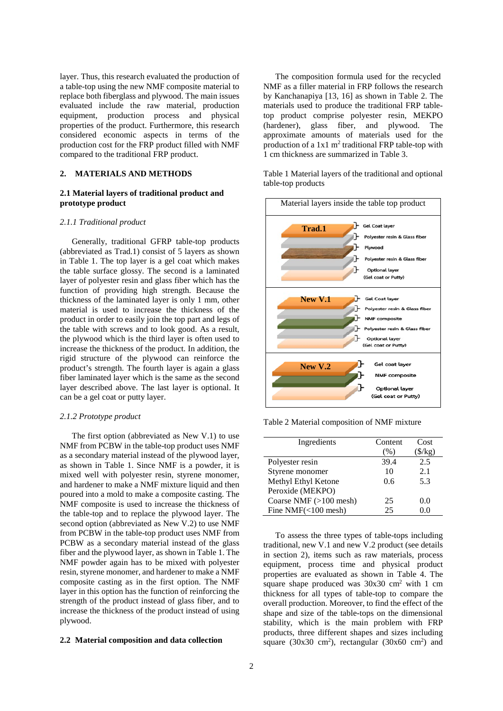layer. Thus, this research evaluated the production of a table-top using the new NMF composite material to replace both fiberglass and plywood. The main issues evaluated include the raw material, production equipment, production process and physical properties of the product. Furthermore, this research considered economic aspects in terms of the production cost for the FRP product filled with NMF compared to the traditional FRP product.

# **2. MATERIALS AND METHODS**

# **2.1 Material layers of traditional product and prototype product**

#### *2.1.1 Traditional product*

Generally, traditional GFRP table-top products (abbreviated as Trad.1) consist of 5 layers as shown in Table 1. The top layer is a gel coat which makes the table surface glossy. The second is a laminated layer of polyester resin and glass fiber which has the function of providing high strength. Because the thickness of the laminated layer is only 1 mm, other material is used to increase the thickness of the product in order to easily join the top part and legs of the table with screws and to look good. As a result, the plywood which is the third layer is often used to increase the thickness of the product. In addition, the rigid structure of the plywood can reinforce the product's strength. The fourth layer is again a glass fiber laminated layer which is the same as the second layer described above. The last layer is optional. It can be a gel coat or putty layer.

# *2.1.2 Prototype product*

The first option (abbreviated as New V.1) to use NMF from PCBW in the table-top product uses NMF as a secondary material instead of the plywood layer, as shown in Table 1. Since NMF is a powder, it is mixed well with polyester resin, styrene monomer, and hardener to make a NMF mixture liquid and then poured into a mold to make a composite casting. The NMF composite is used to increase the thickness of the table-top and to replace the plywood layer. The second option (abbreviated as New V.2) to use NMF from PCBW in the table-top product uses NMF from PCBW as a secondary material instead of the glass fiber and the plywood layer, as shown in Table 1. The NMF powder again has to be mixed with polyester resin, styrene monomer, and hardener to make a NMF composite casting as in the first option. The NMF layer in this option has the function of reinforcing the strength of the product instead of glass fiber, and to increase the thickness of the product instead of using plywood.

#### **2.2 Material composition and data collection**

The composition formula used for the recycled NMF as a filler material in FRP follows the research by Kanchanapiya [13, 16] as shown in Table 2. The materials used to produce the traditional FRP tabletop product comprise polyester resin, MEKPO (hardener), glass fiber, and plywood. The approximate amounts of materials used for the production of a  $1x1 \text{ m}^2$  traditional FRP table-top with 1 cm thickness are summarized in Table 3.

Table 1 Material layers of the traditional and optional table-top products



Table 2 Material composition of NMF mixture

| Ingredients            | Content | Cost                 |
|------------------------|---------|----------------------|
|                        | (%)     | $\frac{\sqrt{3}}{8}$ |
| Polyester resin        | 39.4    | 2.5                  |
| Styrene monomer        | 10      | 2.1                  |
| Methyl Ethyl Ketone    | 0.6     | 5.3                  |
| Peroxide (MEKPO)       |         |                      |
| Coarse NMF (>100 mesh) | 25      | 0.0                  |
| Fine $NMF(<100$ mesh)  | 25      | 0.0                  |

To assess the three types of table-tops including traditional, new V.1 and new V.2 product (see details in section 2), items such as raw materials, process equipment, process time and physical product properties are evaluated as shown in Table 4. The square shape produced was 30x30 cm<sup>2</sup> with 1 cm thickness for all types of table-top to compare the overall production. Moreover, to find the effect of the shape and size of the table-tops on the dimensional stability, which is the main problem with FRP products, three different shapes and sizes including square (30x30 cm<sup>2</sup>), rectangular (30x60 cm<sup>2</sup>) and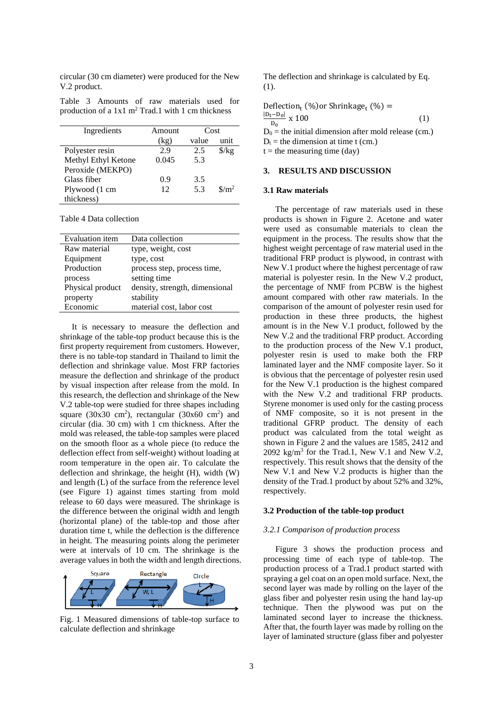circular (30 cm diameter) were produced for the New V.2 product.

Table 3 Amounts of raw materials used for production of a  $1x1 \text{ m}^2$  Trad.1 with 1 cm thickness

| Ingredients         | Amount | Cost  |                               |
|---------------------|--------|-------|-------------------------------|
|                     | (kg)   | value | unit                          |
| Polyester resin     | 2.9    | 2.5   | $\frac{\sqrt{2}}{2}$          |
| Methyl Ethyl Ketone | 0.045  | 5.3   |                               |
| Peroxide (MEKPO)    |        |       |                               |
| Glass fiber         | 0.9    | 3.5   |                               |
| Plywood (1 cm       | 12     | 5.3   | $\frac{\text{m}}{\text{m}^2}$ |
| thickness)          |        |       |                               |

Table 4 Data collection

| <b>Evaluation</b> item | Data collection                |
|------------------------|--------------------------------|
| Raw material           | type, weight, cost             |
| Equipment              | type, cost                     |
| Production             | process step, process time,    |
| process                | setting time                   |
| Physical product       | density, strength, dimensional |
| property               | stability                      |
| Economic               | material cost, labor cost      |
|                        |                                |

It is necessary to measure the deflection and shrinkage of the table-top product because this is the first property requirement from customers. However, there is no table-top standard in Thailand to limit the deflection and shrinkage value. Most FRP factories measure the deflection and shrinkage of the product by visual inspection after release from the mold. In this research, the deflection and shrinkage of the New V.2 table-top were studied for three shapes including square (30x30 cm<sup>2</sup>), rectangular (30x60 cm<sup>2</sup>) and circular (dia. 30 cm) with 1 cm thickness. After the mold was released, the table-top samples were placed on the smooth floor as a whole piece (to reduce the deflection effect from self-weight) without loading at room temperature in the open air. To calculate the deflection and shrinkage, the height (H), width (W) and length (L) of the surface from the reference level (see Figure 1) against times starting from mold release to 60 days were measured. The shrinkage is the difference between the original width and length (horizontal plane) of the table-top and those after duration time t, while the deflection is the difference in height. The measuring points along the perimeter were at intervals of 10 cm. The shrinkage is the average values in both the width and length directions.



Fig. 1 Measured dimensions of table-top surface to calculate deflection and shrinkage

The deflection and shrinkage is calculated by Eq. (1).

Definition<sub>t</sub> (%) or Shrinkage<sub>t</sub> (%) =

\n
$$
\frac{|D_t - D_0|}{D_0} \times 100
$$
\n(1)

\n
$$
D_0 =
$$
\nthe initial dimension after mold release (cm.)

\n
$$
D_t =
$$
\nthe dimension at time t (cm.)

 $t =$  the measuring time (day)

#### **3. RESULTS AND DISCUSSION**

# **3.1 Raw materials**

The percentage of raw materials used in these products is shown in Figure 2. Acetone and water were used as consumable materials to clean the equipment in the process. The results show that the highest weight percentage of raw material used in the traditional FRP product is plywood, in contrast with New V.1 product where the highest percentage of raw material is polyester resin. In the New V.2 product, the percentage of NMF from PCBW is the highest amount compared with other raw materials. In the comparison of the amount of polyester resin used for production in these three products, the highest amount is in the New V.1 product, followed by the New V.2 and the traditional FRP product. According to the production process of the New V.1 product, polyester resin is used to make both the FRP laminated layer and the NMF composite layer. So it is obvious that the percentage of polyester resin used for the New V.1 production is the highest compared with the New V.2 and traditional FRP products. Styrene monomer is used only for the casting process of NMF composite, so it is not present in the traditional GFRP product. The density of each product was calculated from the total weight as shown in Figure 2 and the values are 1585, 2412 and 2092 kg/m<sup>3</sup> for the Trad.1, New V.1 and New V.2, respectively. This result shows that the density of the New V.1 and New V.2 products is higher than the density of the Trad.1 product by about 52% and 32%, respectively.

#### **3.2 Production of the table-top product**

#### *3.2.1 Comparison of production process*

Figure 3 shows the production process and processing time of each type of table-top. The production process of a Trad.1 product started with spraying a gel coat on an open mold surface. Next, the second layer was made by rolling on the layer of the glass fiber and polyester resin using the hand lay-up technique. Then the plywood was put on the laminated second layer to increase the thickness. After that, the fourth layer was made by rolling on the layer of laminated structure (glass fiber and polyester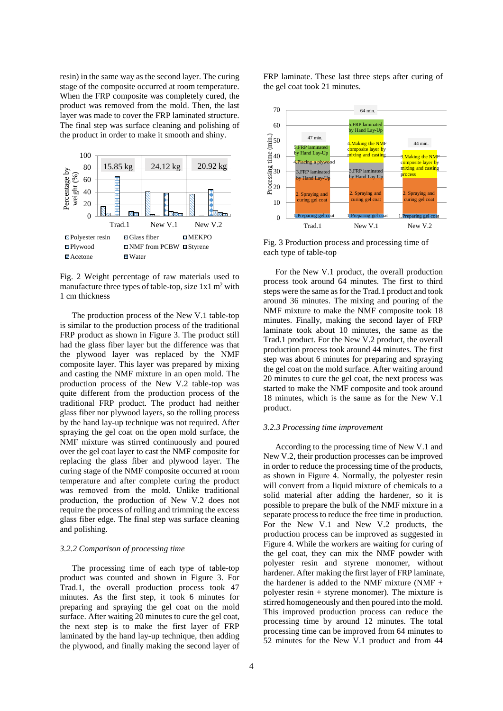resin) in the same way as the second layer. The curing stage of the composite occurred at room temperature. When the FRP composite was completely cured, the product was removed from the mold. Then, the last layer was made to cover the FRP laminated structure. The final step was surface cleaning and polishing of the product in order to make it smooth and shiny.



Fig. 2 Weight percentage of raw materials used to manufacture three types of table-top, size  $1x1 \text{ m}^2$  with 1 cm thickness

The production process of the New V.1 table-top is similar to the production process of the traditional FRP product as shown in Figure 3. The product still had the glass fiber layer but the difference was that the plywood layer was replaced by the NMF composite layer. This layer was prepared by mixing and casting the NMF mixture in an open mold. The production process of the New V.2 table-top was quite different from the production process of the traditional FRP product. The product had neither glass fiber nor plywood layers, so the rolling process by the hand lay-up technique was not required. After spraying the gel coat on the open mold surface, the NMF mixture was stirred continuously and poured over the gel coat layer to cast the NMF composite for replacing the glass fiber and plywood layer. The curing stage of the NMF composite occurred at room temperature and after complete curing the product was removed from the mold. Unlike traditional production, the production of New V.2 does not require the process of rolling and trimming the excess glass fiber edge. The final step was surface cleaning and polishing.

# *3.2.2 Comparison of processing time*

The processing time of each type of table-top product was counted and shown in Figure 3. For Trad.1, the overall production process took 47 minutes. As the first step, it took 6 minutes for preparing and spraying the gel coat on the mold surface. After waiting 20 minutes to cure the gel coat, the next step is to make the first layer of FRP laminated by the hand lay-up technique, then adding the plywood, and finally making the second layer of FRP laminate. These last three steps after curing of the gel coat took 21 minutes.



Fig. 3 Production process and processing time of each type of table-top

For the New V.1 product, the overall production process took around 64 minutes. The first to third steps were the same as for the Trad.1 product and took around 36 minutes. The mixing and pouring of the NMF mixture to make the NMF composite took 18 minutes. Finally, making the second layer of FRP laminate took about 10 minutes, the same as the Trad.1 product. For the New V.2 product, the overall production process took around 44 minutes. The first step was about 6 minutes for preparing and spraying the gel coat on the mold surface. After waiting around 20 minutes to cure the gel coat, the next process was started to make the NMF composite and took around 18 minutes, which is the same as for the New V.1 product.

#### *3.2.3 Processing time improvement*

According to the processing time of New V.1 and New V.2, their production processes can be improved in order to reduce the processing time of the products, as shown in Figure 4. Normally, the polyester resin will convert from a liquid mixture of chemicals to a solid material after adding the hardener, so it is possible to prepare the bulk of the NMF mixture in a separate process to reduce the free time in production. For the New V.1 and New V.2 products, the production process can be improved as suggested in Figure 4. While the workers are waiting for curing of the gel coat, they can mix the NMF powder with polyester resin and styrene monomer, without hardener. After making the first layer of FRP laminate, the hardener is added to the NMF mixture (NMF + polyester resin + styrene monomer). The mixture is stirred homogeneously and then poured into the mold. This improved production process can reduce the processing time by around 12 minutes. The total processing time can be improved from 64 minutes to 52 minutes for the New V.1 product and from 44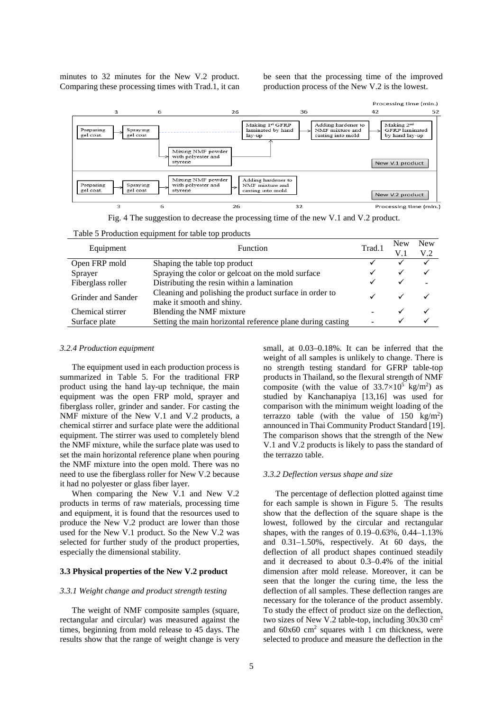minutes to 32 minutes for the New V.2 product. Comparing these processing times with Trad.1, it can be seen that the processing time of the improved production process of the New V.2 is the lowest.



Fig. 4 The suggestion to decrease the processing time of the new V.1 and V.2 product.

Table 5 Production equipment for table top products

|                    | Equipment<br><b>Function</b>                                                        |   | <b>New</b> | <b>New</b> |
|--------------------|-------------------------------------------------------------------------------------|---|------------|------------|
|                    |                                                                                     |   |            | V.2        |
| Open FRP mold      | Shaping the table top product                                                       |   |            |            |
| Sprayer            | Spraying the color or gelcoat on the mold surface                                   | ✓ | ✓          |            |
| Fiberglass roller  | Distributing the resin within a lamination                                          |   |            |            |
| Grinder and Sander | Cleaning and polishing the product surface in order to<br>make it smooth and shiny. |   |            |            |
| Chemical stirrer   | Blending the NMF mixture                                                            |   |            |            |
| Surface plate      | Setting the main horizontal reference plane during casting                          |   |            |            |
|                    |                                                                                     |   |            |            |

## *3.2.4 Production equipment*

The equipment used in each production process is summarized in Table 5. For the traditional FRP product using the hand lay-up technique, the main equipment was the open FRP mold, sprayer and fiberglass roller, grinder and sander. For casting the NMF mixture of the New V.1 and V.2 products, a chemical stirrer and surface plate were the additional equipment. The stirrer was used to completely blend the NMF mixture, while the surface plate was used to set the main horizontal reference plane when pouring the NMF mixture into the open mold. There was no need to use the fiberglass roller for New V.2 because it had no polyester or glass fiber layer.

When comparing the New V.1 and New V.2 products in terms of raw materials, processing time and equipment, it is found that the resources used to produce the New V.2 product are lower than those used for the New V.1 product. So the New V.2 was selected for further study of the product properties, especially the dimensional stability.

# **3.3 Physical properties of the New V.2 product**

# *3.3.1 Weight change and product strength testing*

The weight of NMF composite samples (square, rectangular and circular) was measured against the times, beginning from mold release to 45 days. The results show that the range of weight change is very small, at 0.03–0.18%. It can be inferred that the weight of all samples is unlikely to change. There is no strength testing standard for GFRP table-top products in Thailand, so the flexural strength of NMF composite (with the value of  $33.7 \times 10^5$  kg/m<sup>2</sup>) as studied by Kanchanapiya [13,16] was used for comparison with the minimum weight loading of the terrazzo table (with the value of  $150 \text{ kg/m}^2$ ) announced in Thai Community Product Standard [19]. The comparison shows that the strength of the New V.1 and V.2 products is likely to pass the standard of the terrazzo table.

#### *3.3.2 Deflection versus shape and size*

The percentage of deflection plotted against time for each sample is shown in Figure 5. The results show that the deflection of the square shape is the lowest, followed by the circular and rectangular shapes, with the ranges of 0.19–0.63%, 0.44–1.13% and 0.31–1.50%, respectively. At 60 days, the deflection of all product shapes continued steadily and it decreased to about 0.3–0.4% of the initial dimension after mold release. Moreover, it can be seen that the longer the curing time, the less the deflection of all samples. These deflection ranges are necessary for the tolerance of the product assembly. To study the effect of product size on the deflection, two sizes of New V.2 table-top, including 30x30 cm2 and  $60x60$  cm<sup>2</sup> squares with 1 cm thickness, were selected to produce and measure the deflection in the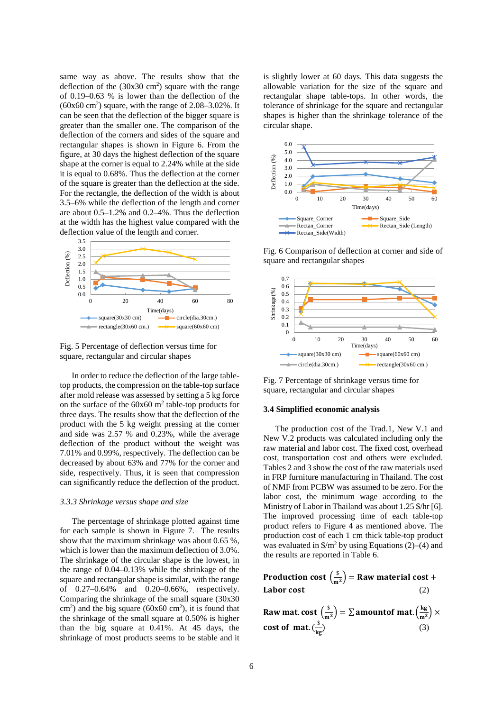same way as above. The results show that the deflection of the  $(30x30 \text{ cm}^2)$  square with the range of 0.19–0.63 % is lower than the deflection of the  $(60x60 \text{ cm}^2)$  square, with the range of 2.08–3.02%. It can be seen that the deflection of the bigger square is greater than the smaller one. The comparison of the deflection of the corners and sides of the square and rectangular shapes is shown in Figure 6. From the figure, at 30 days the highest deflection of the square shape at the corner is equal to 2.24% while at the side it is equal to 0.68%. Thus the deflection at the corner of the square is greater than the deflection at the side. For the rectangle, the deflection of the width is about 3.5–6% while the deflection of the length and corner are about 0.5–1.2% and 0.2–4%. Thus the deflection at the width has the highest value compared with the deflection value of the length and corner.



Fig. 5 Percentage of deflection versus time for square, rectangular and circular shapes

In order to reduce the deflection of the large tabletop products, the compression on the table-top surface after mold release was assessed by setting a 5 kg force on the surface of the  $60x60$  m<sup>2</sup> table-top products for three days. The results show that the deflection of the product with the 5 kg weight pressing at the corner and side was 2.57 % and 0.23%, while the average deflection of the product without the weight was 7.01% and 0.99%, respectively. The deflection can be decreased by about 63% and 77% for the corner and side, respectively. Thus, it is seen that compression can significantly reduce the deflection of the product.

#### *3.3.3 Shrinkage versus shape and size*

The percentage of shrinkage plotted against time for each sample is shown in Figure 7. The results show that the maximum shrinkage was about 0.65 %, which is lower than the maximum deflection of 3.0%. The shrinkage of the circular shape is the lowest, in the range of 0.04–0.13% while the shrinkage of the square and rectangular shape is similar, with the range of 0.27–0.64% and 0.20–0.66%, respectively. Comparing the shrinkage of the small square (30x30  $\text{cm}^2$ ) and the big square (60x60 cm<sup>2</sup>), it is found that the shrinkage of the small square at 0.50% is higher than the big square at 0.41%. At 45 days, the shrinkage of most products seems to be stable and it is slightly lower at 60 days. This data suggests the allowable variation for the size of the square and rectangular shape table-tops. In other words, the tolerance of shrinkage for the square and rectangular shapes is higher than the shrinkage tolerance of the circular shape.



Fig. 6 Comparison of deflection at corner and side of square and rectangular shapes



Fig. 7 Percentage of shrinkage versus time for square, rectangular and circular shapes

#### **3.4 Simplified economic analysis**

The production cost of the Trad.1, New V.1 and New V.2 products was calculated including only the raw material and labor cost. The fixed cost, overhead cost, transportation cost and others were excluded. Tables 2 and 3 show the cost of the raw materials used in FRP furniture manufacturing in Thailand. The cost of NMF from PCBW was assumed to be zero. For the labor cost, the minimum wage according to the Ministry of Labor in Thailand was about 1.25 \$/hr [6]. The improved processing time of each table-top product refers to Figure 4 as mentioned above. The production cost of each 1 cm thick table-top product was evaluated in  $\frac{\pi}{2}$  by using Equations (2)–(4) and the results are reported in Table 6.

Production cost  $\left(\frac{s}{m^2}\right)$  = Raw material cost + Labor cost (2)

Raw mat. cost 
$$
\left(\frac{s}{m^2}\right) = \sum
$$
 amount of mat.  $\left(\frac{kg}{m^2}\right) \times$   
cost of mat.  $\left(\frac{s}{kg}\right)$  (3)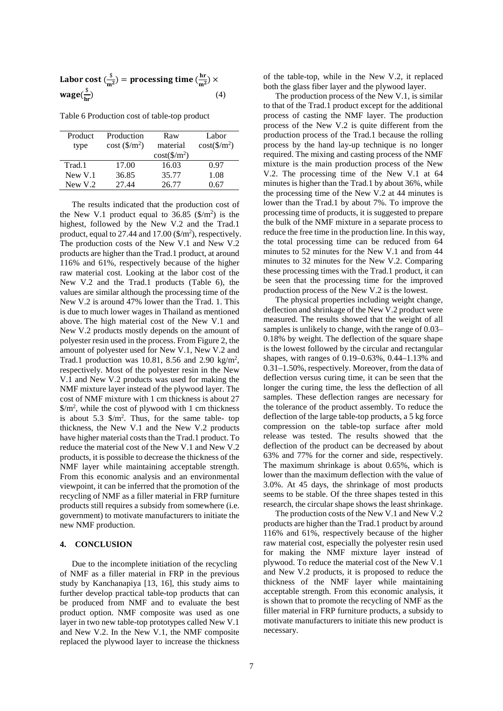| Labor cost $\left(\frac{\$}{m^2}\right)$ = processing time $\left(\frac{hr}{m^2}\right) \times$ |     |
|-------------------------------------------------------------------------------------------------|-----|
| wage $(\frac{\$}{hr})$                                                                          | (4) |

Table 6 Production cost of table-top product

| Product<br>type | Production<br>cost(S/m <sup>2</sup> ) | Raw<br>material        | Labor<br>$cost(\frac{\text{S}}{m^2})$ |
|-----------------|---------------------------------------|------------------------|---------------------------------------|
|                 |                                       | $cost(\frac{1}{2}m^2)$ |                                       |
| Trad.1          | 17.00                                 | 16.03                  | 0.97                                  |
| New V.1         | 36.85                                 | 35.77                  | 1.08                                  |
| New $V1$ .2     | 27.44                                 | 26.77                  | ) 67                                  |

The results indicated that the production cost of the New V.1 product equal to  $36.85$  (\$/m<sup>2</sup>) is the highest, followed by the New V.2 and the Trad.1 product, equal to  $27.44$  and  $17.00$  (\$/m<sup>2</sup>), respectively. The production costs of the New V.1 and New V.2 products are higher than the Trad.1 product, at around 116% and 61%, respectively because of the higher raw material cost. Looking at the labor cost of the New V.2 and the Trad.1 products (Table 6), the values are similar although the processing time of the New V.2 is around 47% lower than the Trad. 1. This is due to much lower wages in Thailand as mentioned above. The high material cost of the New V.1 and New V.2 products mostly depends on the amount of polyester resin used in the process. From Figure 2, the amount of polyester used for New V.1, New V.2 and Trad.1 production was 10.81, 8.56 and 2.90 kg/m<sup>2</sup>, respectively. Most of the polyester resin in the New V.1 and New V.2 products was used for making the NMF mixture layer instead of the plywood layer. The cost of NMF mixture with 1 cm thickness is about 27  $\gamma/m^2$ , while the cost of plywood with 1 cm thickness is about 5.3  $\frac{m^2}{m^2}$ . Thus, for the same table- top thickness, the New V.1 and the New V.2 products have higher material costs than the Trad.1 product. To reduce the material cost of the New V.1 and New V.2 products, it is possible to decrease the thickness of the NMF layer while maintaining acceptable strength. From this economic analysis and an environmental viewpoint, it can be inferred that the promotion of the recycling of NMF as a filler material in FRP furniture products still requires a subsidy from somewhere (i.e. government) to motivate manufacturers to initiate the new NMF production.

#### **4. CONCLUSION**

Due to the incomplete initiation of the recycling of NMF as a filler material in FRP in the previous study by Kanchanapiya [13, 16], this study aims to further develop practical table-top products that can be produced from NMF and to evaluate the best product option. NMF composite was used as one layer in two new table-top prototypes called New V.1 and New V.2. In the New V.1, the NMF composite replaced the plywood layer to increase the thickness of the table-top, while in the New V.2, it replaced both the glass fiber layer and the plywood layer.

The production process of the New V.1, is similar to that of the Trad.1 product except for the additional process of casting the NMF layer. The production process of the New V.2 is quite different from the production process of the Trad.1 because the rolling process by the hand lay-up technique is no longer required. The mixing and casting process of the NMF mixture is the main production process of the New V.2. The processing time of the New V.1 at 64 minutes is higher than the Trad.1 by about 36%, while the processing time of the New V.2 at 44 minutes is lower than the Trad.1 by about 7%. To improve the processing time of products, it is suggested to prepare the bulk of the NMF mixture in a separate process to reduce the free time in the production line. In this way, the total processing time can be reduced from 64 minutes to 52 minutes for the New V.1 and from 44 minutes to 32 minutes for the New V.2. Comparing these processing times with the Trad.1 product, it can be seen that the processing time for the improved production process of the New V.2 is the lowest.

The physical properties including weight change, deflection and shrinkage of the New V.2 product were measured. The results showed that the weight of all samples is unlikely to change, with the range of 0.03– 0.18% by weight. The deflection of the square shape is the lowest followed by the circular and rectangular shapes, with ranges of 0.19–0.63%, 0.44–1.13% and 0.31–1.50%, respectively. Moreover, from the data of deflection versus curing time, it can be seen that the longer the curing time, the less the deflection of all samples. These deflection ranges are necessary for the tolerance of the product assembly. To reduce the deflection of the large table-top products, a 5 kg force compression on the table-top surface after mold release was tested. The results showed that the deflection of the product can be decreased by about 63% and 77% for the corner and side, respectively. The maximum shrinkage is about 0.65%, which is lower than the maximum deflection with the value of 3.0%. At 45 days, the shrinkage of most products seems to be stable. Of the three shapes tested in this research, the circular shape shows the least shrinkage.

The production costs of the New V.1 and New V.2 products are higher than the Trad.1 product by around 116% and 61%, respectively because of the higher raw material cost, especially the polyester resin used for making the NMF mixture layer instead of plywood. To reduce the material cost of the New V.1 and New V.2 products, it is proposed to reduce the thickness of the NMF layer while maintaining acceptable strength. From this economic analysis, it is shown that to promote the recycling of NMF as the filler material in FRP furniture products, a subsidy to motivate manufacturers to initiate this new product is necessary.